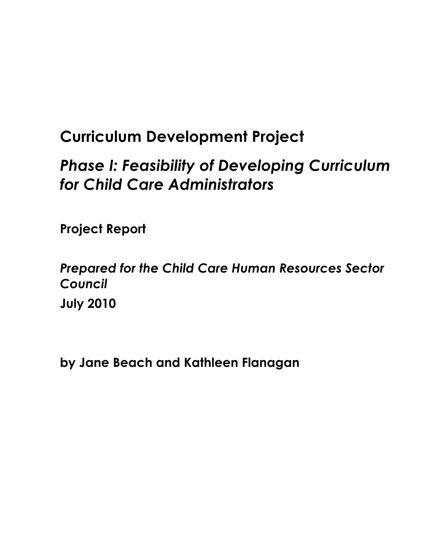# **Curriculum Development Project**

# *Phase I: Feasibility of Developing Curriculum for Child Care Administrators*

**Project Report** 

*Prepared for the Child Care Human Resources Sector Council*  **July 2010**

**by Jane Beach and Kathleen Flanagan**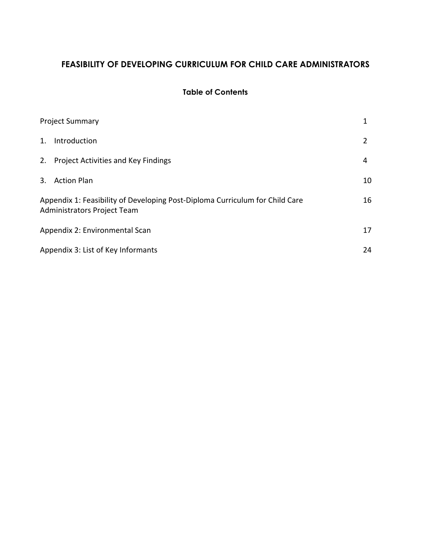# FEASIBILITY OF DEVELOPING CURRICULUM FOR CHILD CARE ADMINISTRATORS

## **Table of Contents**

|    | <b>Project Summary</b>                                                                                      |    |  |  |
|----|-------------------------------------------------------------------------------------------------------------|----|--|--|
| 1. | Introduction                                                                                                | 2  |  |  |
| 2. | <b>Project Activities and Key Findings</b>                                                                  | 4  |  |  |
| 3. | <b>Action Plan</b>                                                                                          | 10 |  |  |
|    | Appendix 1: Feasibility of Developing Post-Diploma Curriculum for Child Care<br>Administrators Project Team | 16 |  |  |
|    | Appendix 2: Environmental Scan                                                                              | 17 |  |  |
|    | Appendix 3: List of Key Informants<br>24                                                                    |    |  |  |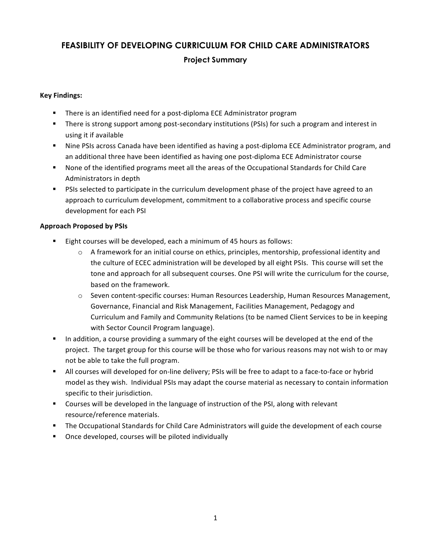# FEASIBILITY OF DEVELOPING CURRICULUM FOR CHILD CARE ADMINISTRATORS **Project Summary**

## **Key Findings:**

- There is an identified need for a post-diploma ECE Administrator program
- There is strong support among post-secondary institutions (PSIs) for such a program and interest in using it if available
- " Nine PSIs across Canada have been identified as having a post-diploma ECE Administrator program, and an additional three have been identified as having one post-diploma ECE Administrator course
- " None of the identified programs meet all the areas of the Occupational Standards for Child Care Administrators in depth
- " PSIs selected to participate in the curriculum development phase of the project have agreed to an approach to curriculum development, commitment to a collaborative process and specific course development for each PSI

## **Approach Proposed by PSIs**

- " Eight courses will be developed, each a minimum of 45 hours as follows:
	- $\circ$  A framework for an initial course on ethics, principles, mentorship, professional identity and the culture of ECEC administration will be developed by all eight PSIs. This course will set the tone and approach for all subsequent courses. One PSI will write the curriculum for the course, based on the framework.
	- Seven content-specific courses: Human Resources Leadership, Human Resources Management, Governance, Financial and Risk Management, Facilities Management, Pedagogy and Curriculum and Family and Community Relations (to be named Client Services to be in keeping with Sector Council Program language).
- In addition, a course providing a summary of the eight courses will be developed at the end of the project. The target group for this course will be those who for various reasons may not wish to or may not be able to take the full program.
- In All courses will developed for on-line delivery; PSIs will be free to adapt to a face-to-face or hybrid model as they wish. Individual PSIs may adapt the course material as necessary to contain information specific to their jurisdiction.
- " Courses will be developed in the language of instruction of the PSI, along with relevant resource/reference materials.
- The Occupational Standards for Child Care Administrators will guide the development of each course
- Once developed, courses will be piloted individually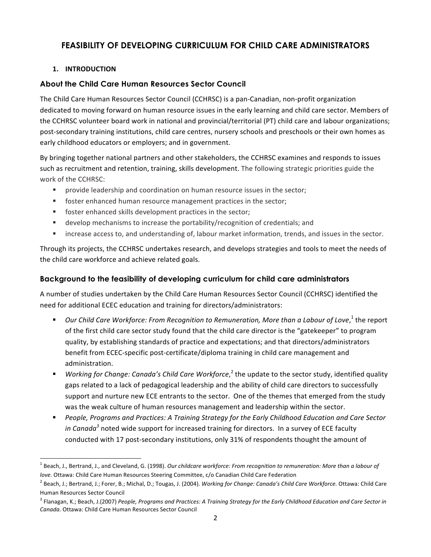## **FEASIBILITY OF DEVELOPING CURRICULUM FOR CHILD CARE ADMINISTRATORS**

## 1. INTRODUCTION

## **About the Child Care Human Resources Sector Council**

The Child Care Human Resources Sector Council (CCHRSC) is a pan-Canadian, non-profit organization dedicated to moving forward on human resource issues in the early learning and child care sector. Members of the CCHRSC volunteer board work in national and provincial/territorial (PT) child care and labour organizations; post-secondary training institutions, child care centres, nursery schools and preschools or their own homes as early childhood educators or employers; and in government.

By bringing together national partners and other stakeholders, the CCHRSC examines and responds to issues such as recruitment and retention, training, skills development. The following strategic priorities guide the work of the CCHRSC:

- a i provide leadership and coordination on human resource issues in the sector;
- " foster enhanced human resource management practices in the sector;
- " foster enhanced skills development practices in the sector;
- develop mechanisms to increase the portability/recognition of credentials; and
- " increase access to, and understanding of, labour market information, trends, and issues in the sector.

Through its projects, the CCHRSC undertakes research, and develops strategies and tools to meet the needs of the child care workforce and achieve related goals.

## Background to the feasibility of developing curriculum for child care administrators

A number of studies undertaken by the Child Care Human Resources Sector Council (CCHRSC) identified the need for additional ECEC education and training for directors/administrators:

- Our Child Care Workforce: From Recognition to Remuneration, More than a Labour of Love,<sup>1</sup> the report of the first child care sector study found that the child care director is the "gatekeeper" to program quality, by establishing standards of practice and expectations; and that directors/administrators benefit from ECEC-specific post-certificate/diploma training in child care management and administration.
- Working for Change: Canada's Child Care Workforce, the update to the sector study, identified quality gaps related to a lack of pedagogical leadership and the ability of child care directors to successfully support and nurture new ECE entrants to the sector. One of the themes that emerged from the study was the weak culture of human resources management and leadership within the sector.
- People, Programs and Practices: A Training Strategy for the Early Childhood Education and Care Sector in Canada<sup>3</sup> noted wide support for increased training for directors. In a survey of ECE faculty conducted with 17 post-secondary institutions, only 31% of respondents thought the amount of

Beach, J., Bertrand, J., and Cleveland, G. (1998). Our childcare workforce: From recognition to remuneration: More than a labour of love. Ottawa: Child Care Human Resources Steering Committee, c/o Canadian Child Care Federation

<sup>&</sup>lt;sup>2</sup> Beach, J.; Bertrand, J.; Forer, B.; Michal, D.; Tougas, J. (2004). Working for Change: Canada's Child Care Workforce. Ottawa: Child Care Human Resources Sector Council

 $^3$  Flanagan, K.; Beach, J.(2007) People, Programs and Practices: A Training Strategy for the Early Childhood Education and Care Sector in Canada. Ottawa: Child Care Human Resources Sector Council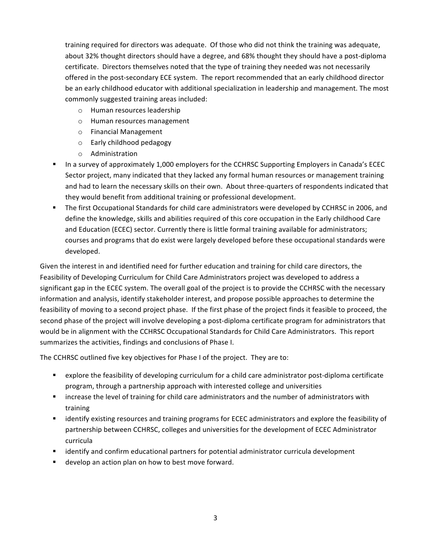training required for directors was adequate. Of those who did not think the training was adequate, about 32% thought directors should have a degree, and 68% thought they should have a post-diploma certificate. Directors themselves noted that the type of training they needed was not necessarily offered in the post-secondary ECE system. The report recommended that an early childhood director be an early childhood educator with additional specialization in leadership and management. The most commonly suggested training areas included:

- o Human resources leadership
- o Human resources management
- o Financial Management
- o Early childhood pedagogy
- o Administration
- In a survey of approximately 1,000 employers for the CCHRSC Supporting Employers in Canada's ECEC Sector project, many indicated that they lacked any formal human resources or management training and had to learn the necessary skills on their own. About three-quarters of respondents indicated that they would benefit from additional training or professional development.
- The first Occupational Standards for child care administrators were developed by CCHRSC in 2006, and define the knowledge, skills and abilities required of this core occupation in the Early childhood Care and Education (ECEC) sector. Currently there is little formal training available for administrators; courses and programs that do exist were largely developed before these occupational standards were developed.

Given the interest in and identified need for further education and training for child care directors, the Feasibility of Developing Curriculum for Child Care Administrators project was developed to address a significant gap in the ECEC system. The overall goal of the project is to provide the CCHRSC with the necessary information and analysis, identify stakeholder interest, and propose possible approaches to determine the feasibility of moving to a second project phase. If the first phase of the project finds it feasible to proceed, the second phase of the project will involve developing a post-diploma certificate program for administrators that would be in alignment with the CCHRSC Occupational Standards for Child Care Administrators. This report summarizes the activities, findings and conclusions of Phase I.

The CCHRSC outlined five key objectives for Phase I of the project. They are to:

- " explore the feasibility of developing curriculum for a child care administrator post-diploma certificate program, through a partnership approach with interested college and universities
- " increase the level of training for child care administrators and the number of administrators with training
- " identify existing resources and training programs for ECEC administrators and explore the feasibility of partnership between CCHRSC, colleges and universities for the development of ECEC Administrator curricula
- identify and confirm educational partners for potential administrator curricula development
- develop an action plan on how to best move forward.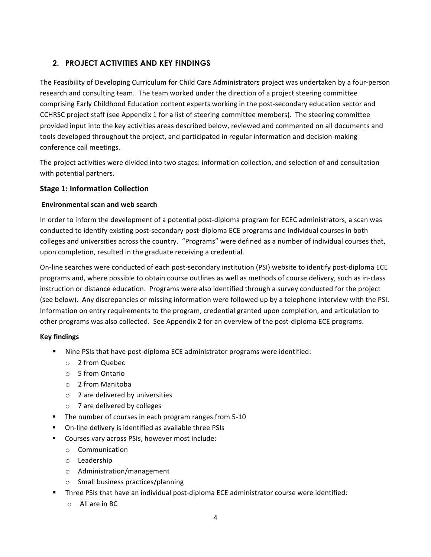## 2. PROJECT ACTIVITIES AND KEY FINDINGS

The Feasibility of Developing Curriculum for Child Care Administrators project was undertaken by a four-person research and consulting team. The team worked under the direction of a project steering committee comprising Early Childhood Education content experts working in the post-secondary education sector and CCHRSC project staff (see Appendix 1 for a list of steering committee members). The steering committee provided input into the key activities areas described below, reviewed and commented on all documents and tools developed throughout the project, and participated in regular information and decision-making conference call meetings.

The project activities were divided into two stages: information collection, and selection of and consultation with potential partners.

## **Stage 1: Information Collection**

#### **Environmental scan and web search**

In order to inform the development of a potential post-diploma program for ECEC administrators, a scan was conducted to identify existing post-secondary post-diploma ECE programs and individual courses in both colleges and universities across the country. "Programs" were defined as a number of individual courses that, upon completion, resulted in the graduate receiving a credential.

On-line searches were conducted of each post-secondary institution (PSI) website to identify post-diploma ECE programs and, where possible to obtain course outlines as well as methods of course delivery, such as in-class instruction or distance education. Programs were also identified through a survey conducted for the project (see below). Any discrepancies or missing information were followed up by a telephone interview with the PSI. Information on entry requirements to the program, credential granted upon completion, and articulation to other programs was also collected. See Appendix 2 for an overview of the post-diploma ECE programs.

## **Key findings**

- " Nine PSIs that have post-diploma ECE administrator programs were identified:
	- $\circ$  2 from Quebec
	- $\circ$  5 from Ontario
	- $\circ$  2 from Manitoba
	- $\circ$  2 are delivered by universities
	- $\circ$  7 are delivered by colleges
- The number of courses in each program ranges from 5-10
- On-line delivery is identified as available three PSIs
- " Courses vary across PSIs, however most include:
	- o Communication
	- o Leadership
	- o Administration/management
	- $\circ$  Small business practices/planning
- " Three PSIs that have an individual post-diploma ECE administrator course were identified:
	- $\circ$  All are in BC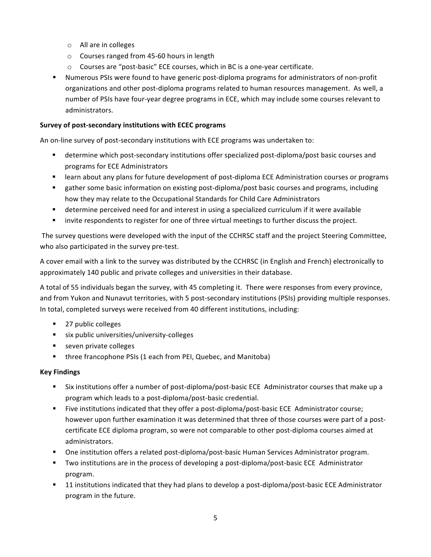- o All are in colleges
- o Courses ranged from 45-60 hours in length
- Courses are "post-basic" ECE courses, which in BC is a one-year certificate.
- " Numerous PSIs were found to have generic post-diploma programs for administrators of non-profit organizations and other post-diploma programs related to human resources management. As well, a number of PSIs have four-year degree programs in ECE, which may include some courses relevant to administrators

#### Survey of post-secondary institutions with ECEC programs

An on-line survey of post-secondary institutions with ECE programs was undertaken to:

- determine which post-secondary institutions offer specialized post-diploma/post basic courses and programs for ECE Administrators
- learn about any plans for future development of post-diploma ECE Administration courses or programs
- " gather some basic information on existing post-diploma/post basic courses and programs, including how they may relate to the Occupational Standards for Child Care Administrators
- determine perceived need for and interest in using a specialized curriculum if it were available
- invite respondents to register for one of three virtual meetings to further discuss the project.  $\blacksquare$

The survey questions were developed with the input of the CCHRSC staff and the project Steering Committee, who also participated in the survey pre-test.

A cover email with a link to the survey was distributed by the CCHRSC (in English and French) electronically to approximately 140 public and private colleges and universities in their database.

A total of 55 individuals began the survey, with 45 completing it. There were responses from every province, and from Yukon and Nunavut territories, with 5 post-secondary institutions (PSIs) providing multiple responses. In total, completed surveys were received from 40 different institutions, including:

- 27 public colleges
- six public universities/university-colleges
- seven private colleges
- three francophone PSIs (1 each from PEI, Quebec, and Manitoba)

## **Key Findings**

- "Six institutions offer a number of post-diploma/post-basic ECE Administrator courses that make up a program which leads to a post-diploma/post-basic credential.
- " Five institutions indicated that they offer a post-diploma/post-basic ECE Administrator course; however upon further examination it was determined that three of those courses were part of a postcertificate ECE diploma program, so were not comparable to other post-diploma courses aimed at administrators.
- One institution offers a related post-diploma/post-basic Human Services Administrator program.
- " Two institutions are in the process of developing a post-diploma/post-basic ECE Administrator program.
- "11 institutions indicated that they had plans to develop a post-diploma/post-basic ECE Administrator program in the future.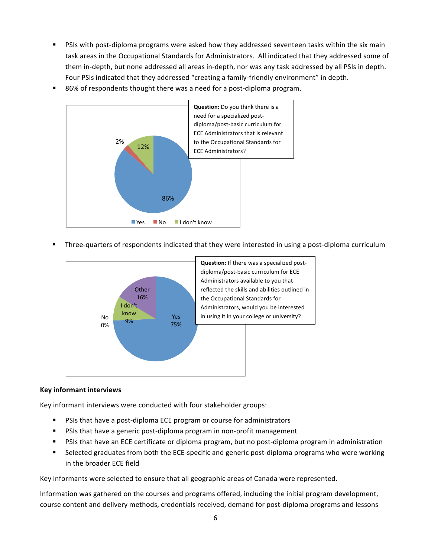- PSIs with post-diploma programs were asked how they addressed seventeen tasks within the six main task areas in the Occupational Standards for Administrators. All indicated that they addressed some of them in-depth, but none addressed all areas in-depth, nor was any task addressed by all PSIs in depth. Four PSIs indicated that they addressed "creating a family-friendly environment" in depth.
- 86% of respondents thought there was a need for a post-diploma program.



Three-quarters of respondents indicated that they were interested in using a post-diploma curriculum



#### **Key informant interviews**

Key informant interviews were conducted with four stakeholder groups:

- PSIs that have a post-diploma ECE program or course for administrators  $\blacksquare$
- " PSIs that have a generic post-diploma program in non-profit management
- PSIs that have an ECE certificate or diploma program, but no post-diploma program in administration  $\mathbf{u}$
- Selected graduates from both the ECE-specific and generic post-diploma programs who were working  $\blacksquare$ in the broader ECE field

Key informants were selected to ensure that all geographic areas of Canada were represented.

Information was gathered on the courses and programs offered, including the initial program development, course content and delivery methods, credentials received, demand for post-diploma programs and lessons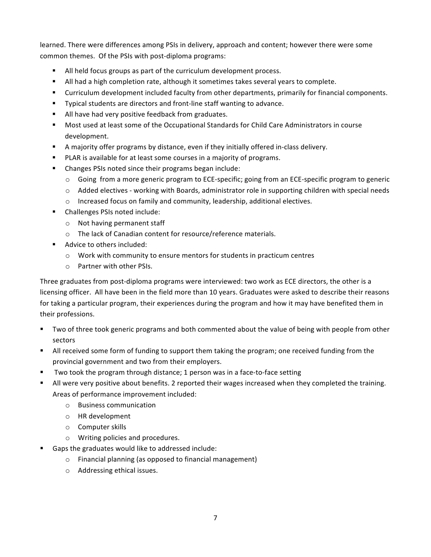learned. There were differences among PSIs in delivery, approach and content; however there were some common themes. Of the PSIs with post-diploma programs:

- All held focus groups as part of the curriculum development process.
- In All had a high completion rate, although it sometimes takes several years to complete.
- "Curriculum development included faculty from other departments, primarily for financial components.
- " Typical students are directors and front-line staff wanting to advance.
- All have had very positive feedback from graduates.
- " Most used at least some of the Occupational Standards for Child Care Administrators in course development.
- A majority offer programs by distance, even if they initially offered in-class delivery.
- PLAR is available for at least some courses in a majority of programs.
- Changes PSIs noted since their programs began include:
	- $\circ$  Going from a more generic program to ECE-specific; going from an ECE-specific program to generic
	- o Added electives working with Boards, administrator role in supporting children with special needs
	- o Increased focus on family and community, leadership, additional electives.
- Challenges PSIs noted include:
	- o Not having permanent staff
	- o The lack of Canadian content for resource/reference materials.
- Advice to others included:
	- o Work with community to ensure mentors for students in practicum centres
	- o Partner with other PSIs.

Three graduates from post-diploma programs were interviewed: two work as ECE directors, the other is a licensing officer. All have been in the field more than 10 years. Graduates were asked to describe their reasons for taking a particular program, their experiences during the program and how it may have benefited them in their professions.

- " Two of three took generic programs and both commented about the value of being with people from other sectors
- If all received some form of funding to support them taking the program; one received funding from the provincial government and two from their employers.
- Two took the program through distance; 1 person was in a face-to-face setting
- If all were very positive about benefits. 2 reported their wages increased when they completed the training. Areas of performance improvement included:
	- o Business communication
	- o HR development
	- o Computer skills
	- o Writing policies and procedures.
- Gaps the graduates would like to addressed include:
	- o Financial planning (as opposed to financial management)
	- o Addressing ethical issues.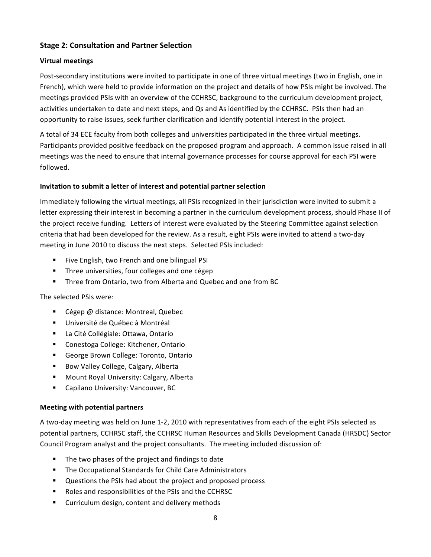#### **Stage 2: Consultation and Partner Selection**

#### **Virtual meetings**

Post-secondary institutions were invited to participate in one of three virtual meetings (two in English, one in French), which were held to provide information on the project and details of how PSIs might be involved. The meetings provided PSIs with an overview of the CCHRSC, background to the curriculum development project, activities undertaken to date and next steps, and Qs and As identified by the CCHRSC. PSIs then had an opportunity to raise issues, seek further clarification and identify potential interest in the project.

A total of 34 ECE faculty from both colleges and universities participated in the three virtual meetings. Participants provided positive feedback on the proposed program and approach. A common issue raised in all meetings was the need to ensure that internal governance processes for course approval for each PSI were followed.

#### Invitation to submit a letter of interest and potential partner selection

Immediately following the virtual meetings, all PSIs recognized in their jurisdiction were invited to submit a letter expressing their interest in becoming a partner in the curriculum development process, should Phase II of the project receive funding. Letters of interest were evaluated by the Steering Committee against selection criteria that had been developed for the review. As a result, eight PSIs were invited to attend a two-day meeting in June 2010 to discuss the next steps. Selected PSIs included:

- " Five English, two French and one bilingual PSI
- " Three universities, four colleges and one cégep
- " Three from Ontario, two from Alberta and Quebec and one from BC

#### The selected PSIs were:

- Cégep @ distance: Montreal, Quebec
- Université de Québec à Montréal
- La Cité Collégiale: Ottawa, Ontario
- " Conestoga College: Kitchener, Ontario
- George Brown College: Toronto, Ontario
- Bow Valley College, Calgary, Alberta
- " Mount Royal University: Calgary, Alberta
- " Capilano University: Vancouver, BC

#### **Meeting with potential partners**

A two-day meeting was held on June 1-2, 2010 with representatives from each of the eight PSIs selected as potential partners, CCHRSC staff, the CCHRSC Human Resources and Skills Development Canada (HRSDC) Sector Council Program analyst and the project consultants. The meeting included discussion of:

- The two phases of the project and findings to date
- " The Occupational Standards for Child Care Administrators
- Questions the PSIs had about the project and proposed process
- " Roles and responsibilities of the PSIs and the CCHRSC
- " Curriculum design, content and delivery methods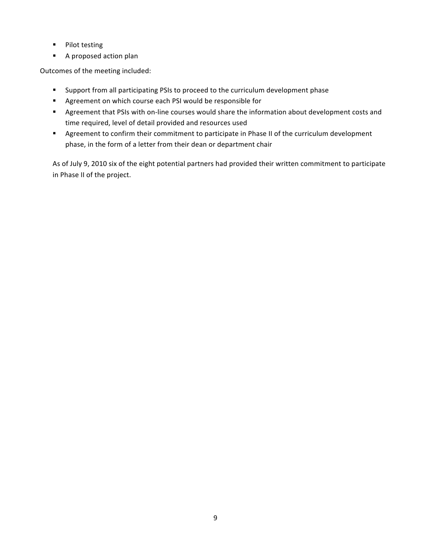- Pilot testing
- A proposed action plan

Outcomes of the meeting included:

- " Support from all participating PSIs to proceed to the curriculum development phase
- " Agreement on which course each PSI would be responsible for
- Agreement that PSIs with on-line courses would share the information about development costs and time required, level of detail provided and resources used
- Agreement to confirm their commitment to participate in Phase II of the curriculum development phase, in the form of a letter from their dean or department chair

As of July 9, 2010 six of the eight potential partners had provided their written commitment to participate in Phase II of the project.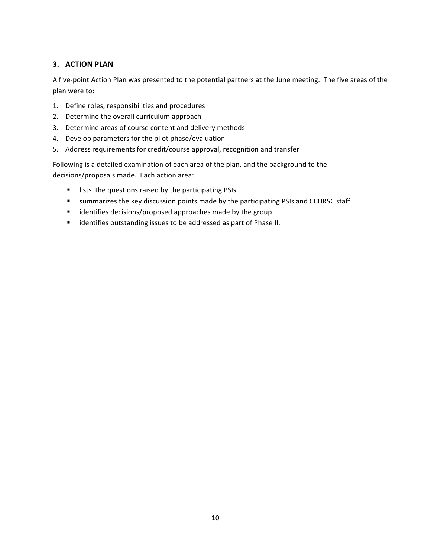## 3. ACTION PLAN

A five-point Action Plan was presented to the potential partners at the June meeting. The five areas of the plan were to:

- 1. Define roles, responsibilities and procedures
- 2. Determine the overall curriculum approach
- 3. Determine areas of course content and delivery methods
- 4. Develop parameters for the pilot phase/evaluation
- 5. Address requirements for credit/course approval, recognition and transfer

Following is a detailed examination of each area of the plan, and the background to the decisions/proposals made. Each action area:

- " lists the questions raised by the participating PSIs
- " summarizes the key discussion points made by the participating PSIs and CCHRSC staff
- $\mathbf{u}$  . identifies decisions/proposed approaches made by the group
- identifies outstanding issues to be addressed as part of Phase II.  $\mathbf{E}^{\text{max}}$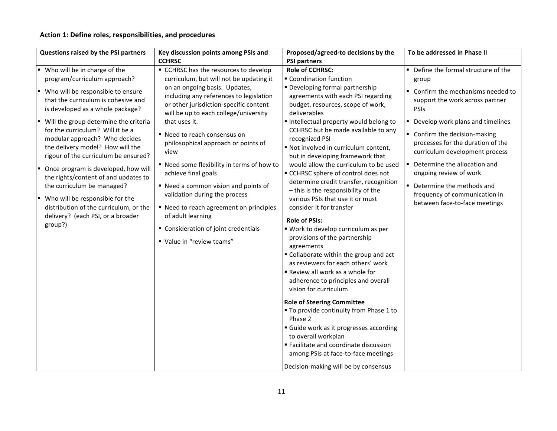## Action 1: Define roles, responsibilities, and procedures

| Questions raised by the PSI partners                                                                                                                                                                                                                                                                                                                                                                                                                                                                                                                                                                               | Key discussion points among PSIs and                                                                                                                                                                                                                                                                                                                                                                                                                                                                                                                                                                                               | Proposed/agreed-to decisions by the                                                                                                                                                                                                                                                                                                                                                                                                                                                                                                                                                                                                                                                                                                                                                                                                                                                                                                                                                                                                                                                                                                                                             | To be addressed in Phase II                                                                                                                                                                                                                                                                                                                                                                                                                         |  |
|--------------------------------------------------------------------------------------------------------------------------------------------------------------------------------------------------------------------------------------------------------------------------------------------------------------------------------------------------------------------------------------------------------------------------------------------------------------------------------------------------------------------------------------------------------------------------------------------------------------------|------------------------------------------------------------------------------------------------------------------------------------------------------------------------------------------------------------------------------------------------------------------------------------------------------------------------------------------------------------------------------------------------------------------------------------------------------------------------------------------------------------------------------------------------------------------------------------------------------------------------------------|---------------------------------------------------------------------------------------------------------------------------------------------------------------------------------------------------------------------------------------------------------------------------------------------------------------------------------------------------------------------------------------------------------------------------------------------------------------------------------------------------------------------------------------------------------------------------------------------------------------------------------------------------------------------------------------------------------------------------------------------------------------------------------------------------------------------------------------------------------------------------------------------------------------------------------------------------------------------------------------------------------------------------------------------------------------------------------------------------------------------------------------------------------------------------------|-----------------------------------------------------------------------------------------------------------------------------------------------------------------------------------------------------------------------------------------------------------------------------------------------------------------------------------------------------------------------------------------------------------------------------------------------------|--|
|                                                                                                                                                                                                                                                                                                                                                                                                                                                                                                                                                                                                                    | <b>CCHRSC</b>                                                                                                                                                                                                                                                                                                                                                                                                                                                                                                                                                                                                                      | <b>PSI partners</b>                                                                                                                                                                                                                                                                                                                                                                                                                                                                                                                                                                                                                                                                                                                                                                                                                                                                                                                                                                                                                                                                                                                                                             |                                                                                                                                                                                                                                                                                                                                                                                                                                                     |  |
| Who will be in charge of the<br>program/curriculum approach?<br>■ Who will be responsible to ensure<br>that the curriculum is cohesive and<br>is developed as a whole package?<br>Will the group determine the criteria<br>for the curriculum? Will it be a<br>modular approach? Who decides<br>the delivery model? How will the<br>rigour of the curriculum be ensured?<br>Once program is developed, how will<br>the rights/content of and updates to<br>the curriculum be managed?<br>Who will be responsible for the<br>distribution of the curriculum, or the<br>delivery? (each PSI, or a broader<br>group?) | • CCHRSC has the resources to develop<br>curriculum, but will not be updating it<br>on an ongoing basis. Updates,<br>including any references to legislation<br>or other jurisdiction-specific content<br>will be up to each college/university<br>that uses it.<br>■ Need to reach consensus on<br>philosophical approach or points of<br>view<br>" Need some flexibility in terms of how to<br>achieve final goals<br>" Need a common vision and points of<br>validation during the process<br>■ Need to reach agreement on principles<br>of adult learning<br>• Consideration of joint credentials<br>" Value in "review teams" | <b>Role of CCHRSC:</b><br>Coordination function<br>" Developing formal partnership<br>agreements with each PSI regarding<br>budget, resources, scope of work,<br>deliverables<br>Intellectual property would belong to<br>CCHRSC but be made available to any<br>recognized PSI<br>" Not involved in curriculum content,<br>but in developing framework that<br>would allow the curriculum to be used<br>■ CCHRSC sphere of control does not<br>determine credit transfer, recognition<br>- this is the responsibility of the<br>various PSIs that use it or must<br>consider it for transfer<br><b>Role of PSIs:</b><br>" Work to develop curriculum as per<br>provisions of the partnership<br>agreements<br>" Collaborate within the group and act<br>as reviewers for each others' work<br>Review all work as a whole for<br>adherence to principles and overall<br>vision for curriculum<br><b>Role of Steering Committee</b><br>" To provide continuity from Phase 1 to<br>Phase 2<br>Guide work as it progresses according<br>to overall workplan<br>Facilitate and coordinate discussion<br>among PSIs at face-to-face meetings<br>Decision-making will be by consensus | Define the formal structure of the<br>٠<br>group<br>Confirm the mechanisms needed to<br>support the work across partner<br><b>PSIS</b><br>Develop work plans and timelines<br>Confirm the decision-making<br>٠<br>processes for the duration of the<br>curriculum development process<br>Determine the allocation and<br>٠<br>ongoing review of work<br>Determine the methods and<br>frequency of communication in<br>between face-to-face meetings |  |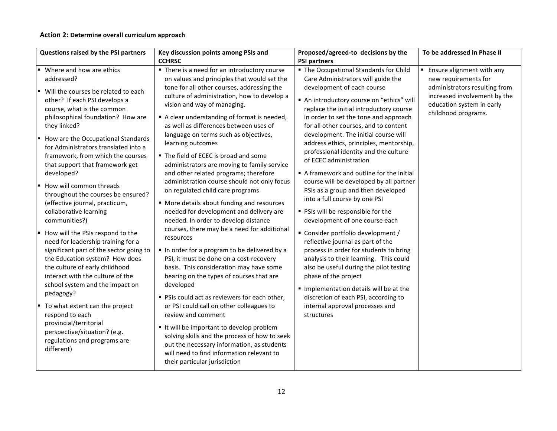#### Action 2: Determine overall curriculum approach

| Questions raised by the PSI partners                                                                                                                                                                                                                                                                                                                                                                                                                                                                                                                                                                                                                                                                                                                                                                                                                                                                                                                                | Key discussion points among PSIs and                                                                                                                                                                                                                                                                                                                                                                                                                                                                                                                                                                                                                                                                                                                                                                                                                                                                                                                                                                                                                                                                                                                                                                                                                                                                                                    | Proposed/agreed-to decisions by the                                                                                                                                                                                                                                                                                                                                                                                                                                                                                                                                                                                                                                                                                                                                                                                                                                                                                                                                                                                                               | To be addressed in Phase II                                                                                                                                                   |
|---------------------------------------------------------------------------------------------------------------------------------------------------------------------------------------------------------------------------------------------------------------------------------------------------------------------------------------------------------------------------------------------------------------------------------------------------------------------------------------------------------------------------------------------------------------------------------------------------------------------------------------------------------------------------------------------------------------------------------------------------------------------------------------------------------------------------------------------------------------------------------------------------------------------------------------------------------------------|-----------------------------------------------------------------------------------------------------------------------------------------------------------------------------------------------------------------------------------------------------------------------------------------------------------------------------------------------------------------------------------------------------------------------------------------------------------------------------------------------------------------------------------------------------------------------------------------------------------------------------------------------------------------------------------------------------------------------------------------------------------------------------------------------------------------------------------------------------------------------------------------------------------------------------------------------------------------------------------------------------------------------------------------------------------------------------------------------------------------------------------------------------------------------------------------------------------------------------------------------------------------------------------------------------------------------------------------|---------------------------------------------------------------------------------------------------------------------------------------------------------------------------------------------------------------------------------------------------------------------------------------------------------------------------------------------------------------------------------------------------------------------------------------------------------------------------------------------------------------------------------------------------------------------------------------------------------------------------------------------------------------------------------------------------------------------------------------------------------------------------------------------------------------------------------------------------------------------------------------------------------------------------------------------------------------------------------------------------------------------------------------------------|-------------------------------------------------------------------------------------------------------------------------------------------------------------------------------|
|                                                                                                                                                                                                                                                                                                                                                                                                                                                                                                                                                                                                                                                                                                                                                                                                                                                                                                                                                                     | <b>CCHRSC</b>                                                                                                                                                                                                                                                                                                                                                                                                                                                                                                                                                                                                                                                                                                                                                                                                                                                                                                                                                                                                                                                                                                                                                                                                                                                                                                                           | <b>PSI partners</b>                                                                                                                                                                                                                                                                                                                                                                                                                                                                                                                                                                                                                                                                                                                                                                                                                                                                                                                                                                                                                               |                                                                                                                                                                               |
| • Where and how are ethics<br>addressed?<br>" Will the courses be related to each<br>other? If each PSI develops a<br>course, what is the common<br>philosophical foundation? How are<br>they linked?<br>How are the Occupational Standards<br>for Administrators translated into a<br>framework, from which the courses<br>that support that framework get<br>developed?<br>How will common threads<br>throughout the courses be ensured?<br>(effective journal, practicum,<br>collaborative learning<br>communities?)<br>How will the PSIs respond to the<br>need for leadership training for a<br>significant part of the sector going to<br>the Education system? How does<br>the culture of early childhood<br>interact with the culture of the<br>school system and the impact on<br>pedagogy?<br>■ To what extent can the project<br>respond to each<br>provincial/territorial<br>perspective/situation? (e.g.<br>regulations and programs are<br>different) | " There is a need for an introductory course<br>on values and principles that would set the<br>tone for all other courses, addressing the<br>culture of administration, how to develop a<br>vision and way of managing.<br>A clear understanding of format is needed,<br>as well as differences between uses of<br>language on terms such as objectives,<br>learning outcomes<br>" The field of ECEC is broad and some<br>administrators are moving to family service<br>and other related programs; therefore<br>administration course should not only focus<br>on regulated child care programs<br>" More details about funding and resources<br>needed for development and delivery are<br>needed. In order to develop distance<br>courses, there may be a need for additional<br>resources<br>In order for a program to be delivered by a<br>PSI, it must be done on a cost-recovery<br>basis. This consideration may have some<br>bearing on the types of courses that are<br>developed<br>" PSIs could act as reviewers for each other,<br>or PSI could call on other colleagues to<br>review and comment<br>It will be important to develop problem<br>solving skills and the process of how to seek<br>out the necessary information, as students<br>will need to find information relevant to<br>their particular jurisdiction | • The Occupational Standards for Child<br>Care Administrators will guide the<br>development of each course<br>An introductory course on "ethics" will<br>replace the initial introductory course<br>in order to set the tone and approach<br>for all other courses, and to content<br>development. The initial course will<br>address ethics, principles, mentorship,<br>professional identity and the culture<br>of ECEC administration<br>A framework and outline for the initial<br>course will be developed by all partner<br>PSIs as a group and then developed<br>into a full course by one PSI<br>" PSIs will be responsible for the<br>development of one course each<br>" Consider portfolio development /<br>reflective journal as part of the<br>process in order for students to bring<br>analysis to their learning. This could<br>also be useful during the pilot testing<br>phase of the project<br>Implementation details will be at the<br>discretion of each PSI, according to<br>internal approval processes and<br>structures | <b>Ensure alignment with any</b><br>new requirements for<br>administrators resulting from<br>increased involvement by the<br>education system in early<br>childhood programs. |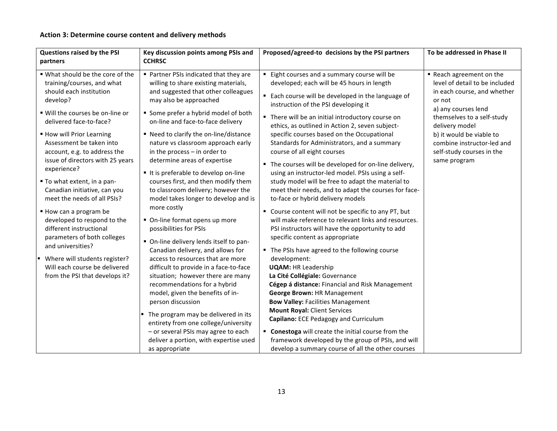## Action 3: Determine course content and delivery methods

| Questions raised by the PSI                                                                                                              | Key discussion points among PSIs and                                                                                                                                                                                                           | Proposed/agreed-to decisions by the PSI partners                                                                                                                                                                                                             | To be addressed in Phase II                                                                         |
|------------------------------------------------------------------------------------------------------------------------------------------|------------------------------------------------------------------------------------------------------------------------------------------------------------------------------------------------------------------------------------------------|--------------------------------------------------------------------------------------------------------------------------------------------------------------------------------------------------------------------------------------------------------------|-----------------------------------------------------------------------------------------------------|
| partners                                                                                                                                 | <b>CCHRSC</b>                                                                                                                                                                                                                                  |                                                                                                                                                                                                                                                              |                                                                                                     |
| . What should be the core of the<br>training/courses, and what<br>should each institution<br>develop?                                    | ■ Partner PSIs indicated that they are<br>willing to share existing materials,<br>and suggested that other colleagues<br>may also be approached                                                                                                | Eight courses and a summary course will be<br>developed; each will be 45 hours in length<br>" Each course will be developed in the language of                                                                                                               | Reach agreement on the<br>level of detail to be included<br>in each course, and whether<br>or not   |
| " Will the courses be on-line or<br>delivered face-to-face?                                                                              | Some prefer a hybrid model of both<br>on-line and face-to-face delivery                                                                                                                                                                        | instruction of the PSI developing it<br>• There will be an initial introductory course on<br>ethics, as outlined in Action 2, seven subject-                                                                                                                 | a) any courses lend<br>themselves to a self-study<br>delivery model                                 |
| ■ How will Prior Learning<br>Assessment be taken into<br>account, e.g. to address the<br>issue of directors with 25 years<br>experience? | ■ Need to clarify the on-line/distance<br>nature vs classroom approach early<br>in the process $-$ in order to<br>determine areas of expertise<br>It is preferable to develop on-line                                                          | specific courses based on the Occupational<br>Standards for Administrators, and a summary<br>course of all eight courses<br>" The courses will be developed for on-line delivery,<br>using an instructor-led model. PSIs using a self-                       | b) it would be viable to<br>combine instructor-led and<br>self-study courses in the<br>same program |
| ■ To what extent, in a pan-<br>Canadian initiative, can you<br>meet the needs of all PSIs?                                               | courses first, and then modify them<br>to classroom delivery; however the<br>model takes longer to develop and is<br>more costly                                                                                                               | study model will be free to adapt the material to<br>meet their needs, and to adapt the courses for face-<br>to-face or hybrid delivery models                                                                                                               |                                                                                                     |
| How can a program be<br>developed to respond to the<br>different instructional<br>parameters of both colleges                            | • On-line format opens up more<br>possibilities for PSIs<br>• On-line delivery lends itself to pan-                                                                                                                                            | " Course content will not be specific to any PT, but<br>will make reference to relevant links and resources.<br>PSI instructors will have the opportunity to add<br>specific content as appropriate                                                          |                                                                                                     |
| and universities?<br>" Where will students register?<br>Will each course be delivered<br>from the PSI that develops it?                  | Canadian delivery, and allows for<br>access to resources that are more<br>difficult to provide in a face-to-face<br>situation; however there are many<br>recommendations for a hybrid<br>model, given the benefits of in-<br>person discussion | • The PSIs have agreed to the following course<br>development:<br><b>UQAM: HR Leadership</b><br>La Cité Collégiale: Governance<br>Cégep á distance: Financial and Risk Management<br>George Brown: HR Management<br><b>Bow Valley: Facilities Management</b> |                                                                                                     |
|                                                                                                                                          | The program may be delivered in its<br>entirety from one college/university<br>- or several PSIs may agree to each<br>deliver a portion, with expertise used<br>as appropriate                                                                 | <b>Mount Royal: Client Services</b><br>Capilano: ECE Pedagogy and Curriculum<br>" Conestoga will create the initial course from the<br>framework developed by the group of PSIs, and will<br>develop a summary course of all the other courses               |                                                                                                     |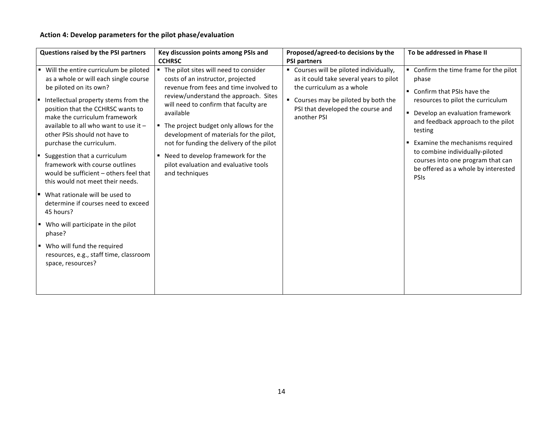## Action 4: Develop parameters for the pilot phase/evaluation

|    | Questions raised by the PSI partners                                                                                                                                                                                                                                                                                         | Key discussion points among PSIs and<br><b>CCHRSC</b>                                                                                                                                                                                                                                                                                                     | Proposed/agreed-to decisions by the                                                                                                                                                                                                | To be addressed in Phase II                                                                                                                                                                                                                   |
|----|------------------------------------------------------------------------------------------------------------------------------------------------------------------------------------------------------------------------------------------------------------------------------------------------------------------------------|-----------------------------------------------------------------------------------------------------------------------------------------------------------------------------------------------------------------------------------------------------------------------------------------------------------------------------------------------------------|------------------------------------------------------------------------------------------------------------------------------------------------------------------------------------------------------------------------------------|-----------------------------------------------------------------------------------------------------------------------------------------------------------------------------------------------------------------------------------------------|
| ш  | Will the entire curriculum be piloted<br>as a whole or will each single course<br>be piloted on its own?<br>Intellectual property stems from the<br>position that the CCHRSC wants to<br>make the curriculum framework<br>available to all who want to use it -<br>other PSIs should not have to<br>purchase the curriculum. | " The pilot sites will need to consider<br>costs of an instructor, projected<br>revenue from fees and time involved to<br>review/understand the approach. Sites<br>will need to confirm that faculty are<br>available<br>" The project budget only allows for the<br>development of materials for the pilot,<br>not for funding the delivery of the pilot | <b>PSI partners</b><br>" Courses will be piloted individually,<br>as it could take several years to pilot<br>the curriculum as a whole<br>" Courses may be piloted by both the<br>PSI that developed the course and<br>another PSI | Confirm the time frame for the pilot<br>phase<br>• Confirm that PSIs have the<br>resources to pilot the curriculum<br>• Develop an evaluation framework<br>and feedback approach to the pilot<br>testing<br>■ Examine the mechanisms required |
| u. | Suggestion that a curriculum<br>framework with course outlines<br>would be sufficient - others feel that<br>this would not meet their needs.                                                                                                                                                                                 | ■ Need to develop framework for the<br>pilot evaluation and evaluative tools<br>and techniques                                                                                                                                                                                                                                                            |                                                                                                                                                                                                                                    | to combine individually-piloted<br>courses into one program that can<br>be offered as a whole by interested<br>PSIs                                                                                                                           |
|    | $\blacksquare$ What rationale will be used to<br>determine if courses need to exceed<br>45 hours?                                                                                                                                                                                                                            |                                                                                                                                                                                                                                                                                                                                                           |                                                                                                                                                                                                                                    |                                                                                                                                                                                                                                               |
|    | ■ Who will participate in the pilot<br>phase?                                                                                                                                                                                                                                                                                |                                                                                                                                                                                                                                                                                                                                                           |                                                                                                                                                                                                                                    |                                                                                                                                                                                                                                               |
|    | • Who will fund the required<br>resources, e.g., staff time, classroom<br>space, resources?                                                                                                                                                                                                                                  |                                                                                                                                                                                                                                                                                                                                                           |                                                                                                                                                                                                                                    |                                                                                                                                                                                                                                               |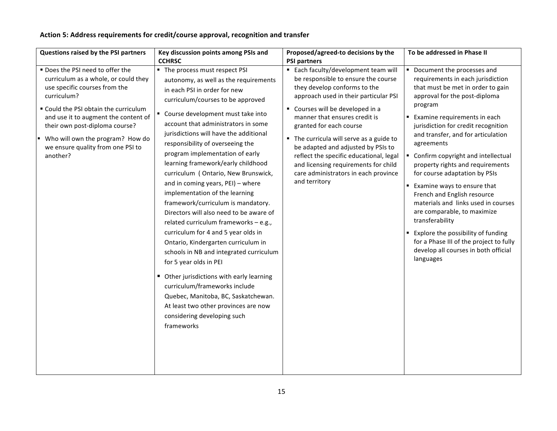## Action 5: Address requirements for credit/course approval, recognition and transfer

| Questions raised by the PSI partners                                                                                                                                                                                                                                                                                               | Key discussion points among PSIs and                                                                                                                                                                                                                                                                                                                                                                                                                                                                                                                                                                                                                                                                                                                                                                                                                                                                                                                                                 | Proposed/agreed-to decisions by the                                                                                                                                                                                                                                                                                                                                                                                                                                                | To be addressed in Phase II                                                                                                                                                                                                                                                                                                                                                                                                                                                                                                                                                                                                                                                                                 |  |
|------------------------------------------------------------------------------------------------------------------------------------------------------------------------------------------------------------------------------------------------------------------------------------------------------------------------------------|--------------------------------------------------------------------------------------------------------------------------------------------------------------------------------------------------------------------------------------------------------------------------------------------------------------------------------------------------------------------------------------------------------------------------------------------------------------------------------------------------------------------------------------------------------------------------------------------------------------------------------------------------------------------------------------------------------------------------------------------------------------------------------------------------------------------------------------------------------------------------------------------------------------------------------------------------------------------------------------|------------------------------------------------------------------------------------------------------------------------------------------------------------------------------------------------------------------------------------------------------------------------------------------------------------------------------------------------------------------------------------------------------------------------------------------------------------------------------------|-------------------------------------------------------------------------------------------------------------------------------------------------------------------------------------------------------------------------------------------------------------------------------------------------------------------------------------------------------------------------------------------------------------------------------------------------------------------------------------------------------------------------------------------------------------------------------------------------------------------------------------------------------------------------------------------------------------|--|
|                                                                                                                                                                                                                                                                                                                                    | <b>CCHRSC</b>                                                                                                                                                                                                                                                                                                                                                                                                                                                                                                                                                                                                                                                                                                                                                                                                                                                                                                                                                                        | <b>PSI partners</b>                                                                                                                                                                                                                                                                                                                                                                                                                                                                |                                                                                                                                                                                                                                                                                                                                                                                                                                                                                                                                                                                                                                                                                                             |  |
| " Does the PSI need to offer the<br>curriculum as a whole, or could they<br>use specific courses from the<br>curriculum?<br>" Could the PSI obtain the curriculum<br>and use it to augment the content of<br>their own post-diploma course?<br>" Who will own the program? How do<br>we ensure quality from one PSI to<br>another? | The process must respect PSI<br>autonomy, as well as the requirements<br>in each PSI in order for new<br>curriculum/courses to be approved<br>" Course development must take into<br>account that administrators in some<br>jurisdictions will have the additional<br>responsibility of overseeing the<br>program implementation of early<br>learning framework/early childhood<br>curriculum (Ontario, New Brunswick,<br>and in coming years, PEI) - where<br>implementation of the learning<br>framework/curriculum is mandatory.<br>Directors will also need to be aware of<br>related curriculum frameworks - e.g.,<br>curriculum for 4 and 5 year olds in<br>Ontario, Kindergarten curriculum in<br>schools in NB and integrated curriculum<br>for 5 year olds in PEI<br>• Other jurisdictions with early learning<br>curriculum/frameworks include<br>Quebec, Manitoba, BC, Saskatchewan.<br>At least two other provinces are now<br>considering developing such<br>frameworks | ■ Each faculty/development team will<br>be responsible to ensure the course<br>they develop conforms to the<br>approach used in their particular PSI<br>" Courses will be developed in a<br>manner that ensures credit is<br>granted for each course<br>" The curricula will serve as a guide to<br>be adapted and adjusted by PSIs to<br>reflect the specific educational, legal<br>and licensing requirements for child<br>care administrators in each province<br>and territory | Document the processes and<br>٠.<br>requirements in each jurisdiction<br>that must be met in order to gain<br>approval for the post-diploma<br>program<br>Examine requirements in each<br>jurisdiction for credit recognition<br>and transfer, and for articulation<br>agreements<br>Confirm copyright and intellectual<br>property rights and requirements<br>for course adaptation by PSIs<br>Examine ways to ensure that<br>French and English resource<br>materials and links used in courses<br>are comparable, to maximize<br>transferability<br>Explore the possibility of funding<br>$\blacksquare$<br>for a Phase III of the project to fully<br>develop all courses in both official<br>languages |  |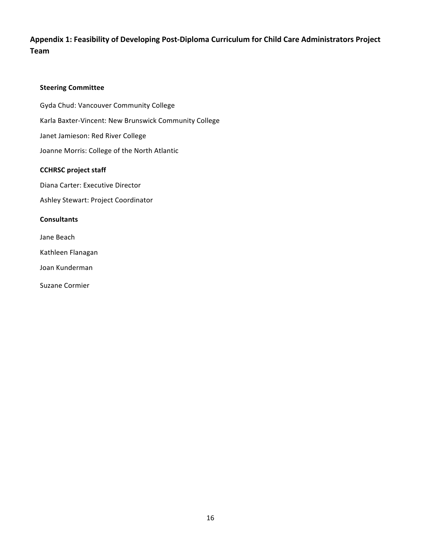# Appendix 1: Feasibility of Developing Post-Diploma Curriculum for Child Care Administrators Project Team

#### **Steering Committee**

Gyda Chud: Vancouver Community College Karla Baxter-Vincent: New Brunswick Community College Janet Jamieson: Red River College Joanne Morris: College of the North Atlantic

#### **CCHRSC** project staff

Diana Carter: Executive Director

Ashley Stewart: Project Coordinator

#### **Consultants**

Jane Beach

Kathleen Flanagan

Joan Kunderman

Suzane Cormier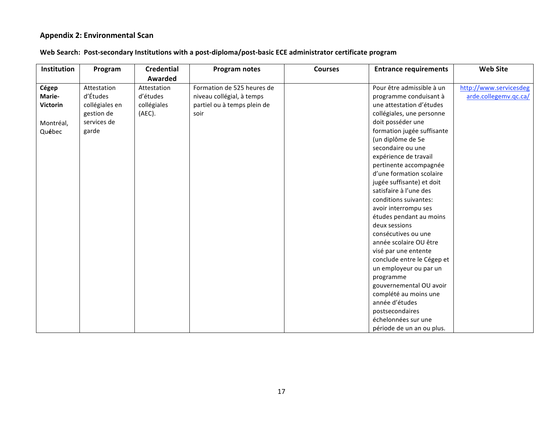## **Appendix 2: Environmental Scan**

| Web Search: Post-secondary Institutions with a post-diploma/post-basic ECE administrator certificate program |
|--------------------------------------------------------------------------------------------------------------|
|--------------------------------------------------------------------------------------------------------------|

| <b>Institution</b> | Program        | <b>Credential</b> | <b>Program notes</b>        | <b>Courses</b> | <b>Entrance requirements</b> | <b>Web Site</b>        |
|--------------------|----------------|-------------------|-----------------------------|----------------|------------------------------|------------------------|
|                    |                | Awarded           |                             |                |                              |                        |
| Cégep              | Attestation    | Attestation       | Formation de 525 heures de  |                | Pour être admissible à un    | http://www.servicesdeg |
| Marie-             | d'Études       | d'études          | niveau collégial, à temps   |                | programme conduisant à       | arde.collegemv.qc.ca/  |
| <b>Victorin</b>    | collégiales en | collégiales       | partiel ou à temps plein de |                | une attestation d'études     |                        |
|                    | gestion de     | (AEC).            | soir                        |                | collégiales, une personne    |                        |
| Montréal,          | services de    |                   |                             |                | doit posséder une            |                        |
| Québec             | garde          |                   |                             |                | formation jugée suffisante   |                        |
|                    |                |                   |                             |                | (un diplôme de 5e            |                        |
|                    |                |                   |                             |                | secondaire ou une            |                        |
|                    |                |                   |                             |                | expérience de travail        |                        |
|                    |                |                   |                             |                | pertinente accompagnée       |                        |
|                    |                |                   |                             |                | d'une formation scolaire     |                        |
|                    |                |                   |                             |                | jugée suffisante) et doit    |                        |
|                    |                |                   |                             |                | satisfaire à l'une des       |                        |
|                    |                |                   |                             |                | conditions suivantes:        |                        |
|                    |                |                   |                             |                | avoir interrompu ses         |                        |
|                    |                |                   |                             |                | études pendant au moins      |                        |
|                    |                |                   |                             |                | deux sessions                |                        |
|                    |                |                   |                             |                | consécutives ou une          |                        |
|                    |                |                   |                             |                | année scolaire OU être       |                        |
|                    |                |                   |                             |                | visé par une entente         |                        |
|                    |                |                   |                             |                | conclude entre le Cégep et   |                        |
|                    |                |                   |                             |                | un employeur ou par un       |                        |
|                    |                |                   |                             |                | programme                    |                        |
|                    |                |                   |                             |                | gouvernemental OU avoir      |                        |
|                    |                |                   |                             |                | complété au moins une        |                        |
|                    |                |                   |                             |                | année d'études               |                        |
|                    |                |                   |                             |                | postsecondaires              |                        |
|                    |                |                   |                             |                | échelonnées sur une          |                        |
|                    |                |                   |                             |                | période de un an ou plus.    |                        |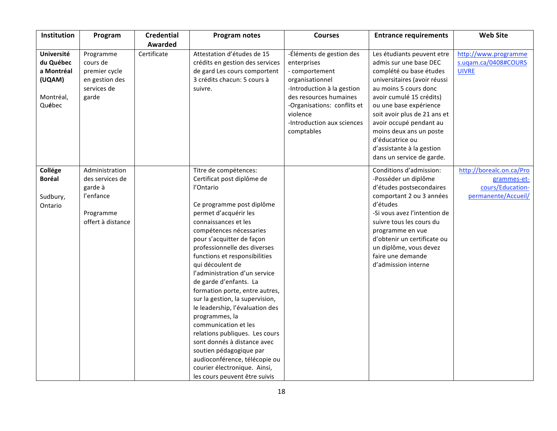| Institution                                                                   | Program                                                                                     | <b>Credential</b><br>Awarded | <b>Program notes</b>                                                                                                                                                                                                                                                                                                                                                                                                                                                                                                                                                                                                                                                                                   | <b>Courses</b>                                                                                                                                                                                                              | <b>Entrance requirements</b>                                                                                                                                                                                                                                                                                                                                      | <b>Web Site</b>                                                                    |
|-------------------------------------------------------------------------------|---------------------------------------------------------------------------------------------|------------------------------|--------------------------------------------------------------------------------------------------------------------------------------------------------------------------------------------------------------------------------------------------------------------------------------------------------------------------------------------------------------------------------------------------------------------------------------------------------------------------------------------------------------------------------------------------------------------------------------------------------------------------------------------------------------------------------------------------------|-----------------------------------------------------------------------------------------------------------------------------------------------------------------------------------------------------------------------------|-------------------------------------------------------------------------------------------------------------------------------------------------------------------------------------------------------------------------------------------------------------------------------------------------------------------------------------------------------------------|------------------------------------------------------------------------------------|
| <b>Université</b><br>du Québec<br>a Montréal<br>(UQAM)<br>Montréal,<br>Québec | Programme<br>cours de<br>premier cycle<br>en gestion des<br>services de<br>garde            | Certificate                  | Attestation d'études de 15<br>crédits en gestion des services<br>de gard Les cours comportent<br>3 crédits chacun: 5 cours à<br>suivre.                                                                                                                                                                                                                                                                                                                                                                                                                                                                                                                                                                | -Éléments de gestion des<br>enterprises<br>- comportement<br>organisationnel<br>-Introduction à la gestion<br>des resources humaines<br>-Organisations: conflits et<br>violence<br>-Introduction aux sciences<br>comptables | Les étudiants peuvent etre<br>admis sur une base DEC<br>complété ou base études<br>universitaires (avoir réussi<br>au moins 5 cours donc<br>avoir cumulé 15 crédits)<br>ou une base expérience<br>soit avoir plus de 21 ans et<br>avoir occupé pendant au<br>moins deux ans un poste<br>d'éducatrice ou<br>d'assistante à la gestion<br>dans un service de garde. | http://www.programme<br>s.uqam.ca/0408#COURS<br><b>UIVRE</b>                       |
| Collége<br><b>Boréal</b><br>Sudbury,<br>Ontario                               | Administration<br>des services de<br>garde à<br>l'enfance<br>Programme<br>offert à distance |                              | Titre de compétences:<br>Certificat post diplôme de<br>l'Ontario<br>Ce programme post diplôme<br>permet d'acquérir les<br>connaissances et les<br>compétences nécessaries<br>pour s'acquitter de façon<br>professionnelle des diverses<br>functions et responsibilities<br>qui découlent de<br>l'administration d'un service<br>de garde d'enfants. La<br>formation porte, entre autres,<br>sur la gestion, la supervision,<br>le leadership, l'évaluation des<br>programmes, la<br>communication et les<br>relations publiques. Les cours<br>sont donnés à distance avec<br>soutien pédagogique par<br>audioconférence, télécopie ou<br>courier électronique. Ainsi,<br>les cours peuvent être suivis |                                                                                                                                                                                                                             | Conditions d'admission:<br>-Posséder un diplôme<br>d'études postsecondaires<br>comportant 2 ou 3 années<br>d'études<br>-Si vous avez l'intention de<br>suivre tous les cours du<br>programme en vue<br>d'obtenir un certificate ou<br>un diplôme, vous devez<br>faire une demande<br>d'admission interne                                                          | http://borealc.on.ca/Pro<br>grammes-et-<br>cours/Education-<br>permanente/Accueil/ |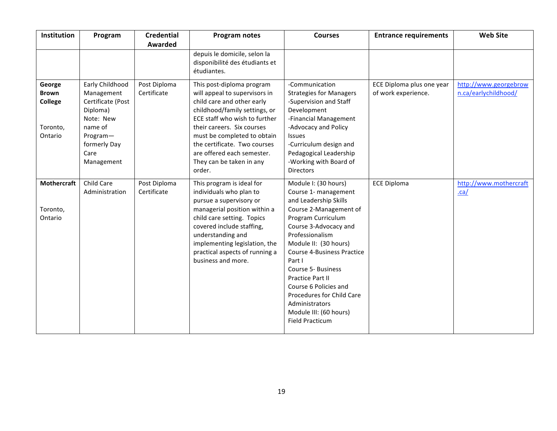| Institution                                              | Program                                                                                                                                  | <b>Credential</b><br>Awarded | Program notes                                                                                                                                                                                                                                                                                                               | <b>Courses</b>                                                                                                                                                                                                                                                                                                                                                                                                                | <b>Entrance requirements</b>                     | <b>Web Site</b>                               |
|----------------------------------------------------------|------------------------------------------------------------------------------------------------------------------------------------------|------------------------------|-----------------------------------------------------------------------------------------------------------------------------------------------------------------------------------------------------------------------------------------------------------------------------------------------------------------------------|-------------------------------------------------------------------------------------------------------------------------------------------------------------------------------------------------------------------------------------------------------------------------------------------------------------------------------------------------------------------------------------------------------------------------------|--------------------------------------------------|-----------------------------------------------|
|                                                          |                                                                                                                                          |                              | depuis le domicile, selon la<br>disponibilité des étudiants et<br>étudiantes.                                                                                                                                                                                                                                               |                                                                                                                                                                                                                                                                                                                                                                                                                               |                                                  |                                               |
| George<br><b>Brown</b><br>College<br>Toronto,<br>Ontario | Early Childhood<br>Management<br>Certificate (Post<br>Diploma)<br>Note: New<br>name of<br>Program-<br>formerly Day<br>Care<br>Management | Post Diploma<br>Certificate  | This post-diploma program<br>will appeal to supervisors in<br>child care and other early<br>childhood/family settings, or<br>ECE staff who wish to further<br>their careers. Six courses<br>must be completed to obtain<br>the certificate. Two courses<br>are offered each semester.<br>They can be taken in any<br>order. | -Communication<br><b>Strategies for Managers</b><br>-Supervision and Staff<br>Development<br>-Financial Management<br>-Advocacy and Policy<br>Issues<br>-Curriculum design and<br>Pedagogical Leadership<br>-Working with Board of<br><b>Directors</b>                                                                                                                                                                        | ECE Diploma plus one year<br>of work experience. | http://www.georgebrow<br>n.ca/earlychildhood/ |
| Mothercraft<br>Toronto,<br>Ontario                       | Child Care<br>Administration                                                                                                             | Post Diploma<br>Certificate  | This program is ideal for<br>individuals who plan to<br>pursue a supervisory or<br>managerial position within a<br>child care setting. Topics<br>covered include staffing,<br>understanding and<br>implementing legislation, the<br>practical aspects of running a<br>business and more.                                    | Module I: (30 hours)<br>Course 1- management<br>and Leadership Skills<br>Course 2-Management of<br>Program Curriculum<br>Course 3-Advocacy and<br>Professionalism<br>Module II: (30 hours)<br><b>Course 4-Business Practice</b><br>Part I<br><b>Course 5- Business</b><br><b>Practice Part II</b><br>Course 6 Policies and<br>Procedures for Child Care<br>Administrators<br>Module III: (60 hours)<br><b>Field Practicum</b> | <b>ECE Diploma</b>                               | http://www.mothercraft<br>$ca/$               |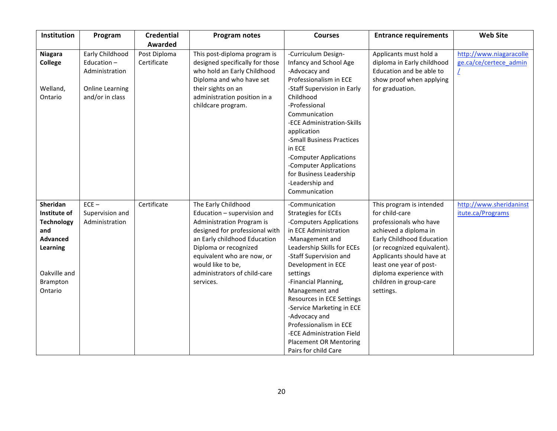| Institution                                                                                                                | Program                                                                                      | <b>Credential</b><br>Awarded | Program notes                                                                                                                                                                                                                                                                     | <b>Courses</b>                                                                                                                                                                                                                                                                                                                                                                                                                                     | <b>Entrance requirements</b>                                                                                                                                                                                                                                                        | <b>Web Site</b>                                        |
|----------------------------------------------------------------------------------------------------------------------------|----------------------------------------------------------------------------------------------|------------------------------|-----------------------------------------------------------------------------------------------------------------------------------------------------------------------------------------------------------------------------------------------------------------------------------|----------------------------------------------------------------------------------------------------------------------------------------------------------------------------------------------------------------------------------------------------------------------------------------------------------------------------------------------------------------------------------------------------------------------------------------------------|-------------------------------------------------------------------------------------------------------------------------------------------------------------------------------------------------------------------------------------------------------------------------------------|--------------------------------------------------------|
| <b>Niagara</b><br><b>College</b><br>Welland,<br>Ontario                                                                    | Early Childhood<br>Education-<br>Administration<br><b>Online Learning</b><br>and/or in class | Post Diploma<br>Certificate  | This post-diploma program is<br>designed specifically for those<br>who hold an Early Childhood<br>Diploma and who have set<br>their sights on an<br>administration position in a<br>childcare program.                                                                            | -Curriculum Design-<br>Infancy and School Age<br>-Advocacy and<br>Professionalism in ECE<br>-Staff Supervision in Early<br>Childhood<br>-Professional<br>Communication<br>-ECE Administration-Skills<br>application<br>-Small Business Practices<br>in ECE<br>-Computer Applications<br>-Computer Applications<br>for Business Leadership<br>-Leadership and<br>Communication                                                                      | Applicants must hold a<br>diploma in Early childhood<br>Education and be able to<br>show proof when applying<br>for graduation.                                                                                                                                                     | http://www.niagaracolle<br>ge.ca/ce/certece admin<br>L |
| Sheridan<br>Institute of<br><b>Technology</b><br>and<br><b>Advanced</b><br>Learning<br>Oakville and<br>Brampton<br>Ontario | $ECE -$<br>Supervision and<br>Administration                                                 | Certificate                  | The Early Childhood<br>Education - supervision and<br><b>Administration Program is</b><br>designed for professional with<br>an Early childhood Education<br>Diploma or recognized<br>equivalent who are now, or<br>would like to be,<br>administrators of child-care<br>services. | -Communication<br><b>Strategies for ECEs</b><br>-Computers Applications<br>in ECE Administration<br>-Management and<br>Leadership Skills for ECEs<br>-Staff Supervision and<br>Development in ECE<br>settings<br>-Financial Planning,<br>Management and<br>Resources in ECE Settings<br>-Service Marketing in ECE<br>-Advocacy and<br>Professionalism in ECE<br>-ECE Administration Field<br><b>Placement OR Mentoring</b><br>Pairs for child Care | This program is intended<br>for child-care<br>professionals who have<br>achieved a diploma in<br>Early Childhood Education<br>(or recognized equivalent).<br>Applicants should have at<br>least one year of post-<br>diploma experience with<br>children in group-care<br>settings. | http://www.sheridaninst<br>itute.ca/Programs           |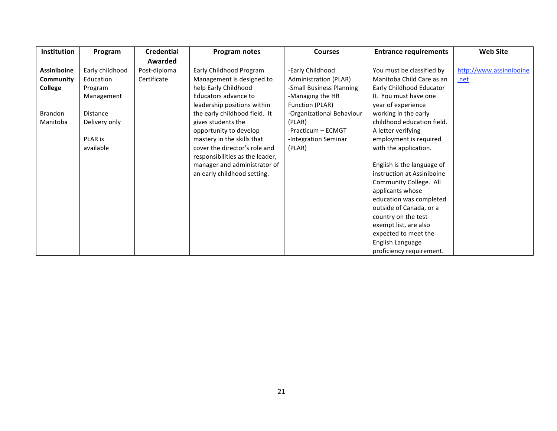| Institution        | Program         | <b>Credential</b> | Program notes                   | <b>Courses</b>            | <b>Entrance requirements</b> | <b>Web Site</b>         |
|--------------------|-----------------|-------------------|---------------------------------|---------------------------|------------------------------|-------------------------|
|                    |                 | Awarded           |                                 |                           |                              |                         |
| <b>Assiniboine</b> | Early childhood | Post-diploma      | Early Childhood Program         | -Early Childhood          | You must be classified by    | http://www.assinniboine |
| Community          | Education       | Certificate       | Management is designed to       | Administration (PLAR)     | Manitoba Child Care as an    | .net                    |
| College            | Program         |                   | help Early Childhood            | -Small Business Planning  | Early Childhood Educator     |                         |
|                    | Management      |                   | Educators advance to            | -Managing the HR          | II. You must have one        |                         |
|                    |                 |                   | leadership positions within     | Function (PLAR)           | year of experience           |                         |
| Brandon            | <b>Distance</b> |                   | the early childhood field. It   | -Organizational Behaviour | working in the early         |                         |
| Manitoba           | Delivery only   |                   | gives students the              | (PLAR)                    | childhood education field.   |                         |
|                    |                 |                   | opportunity to develop          | -Practicum - ECMGT        | A letter verifying           |                         |
|                    | PLAR is         |                   | mastery in the skills that      | -Integration Seminar      | employment is required       |                         |
|                    | available       |                   | cover the director's role and   | (PLAR)                    | with the application.        |                         |
|                    |                 |                   | responsibilities as the leader, |                           |                              |                         |
|                    |                 |                   | manager and administrator of    |                           | English is the language of   |                         |
|                    |                 |                   | an early childhood setting.     |                           | instruction at Assiniboine   |                         |
|                    |                 |                   |                                 |                           | Community College. All       |                         |
|                    |                 |                   |                                 |                           | applicants whose             |                         |
|                    |                 |                   |                                 |                           | education was completed      |                         |
|                    |                 |                   |                                 |                           | outside of Canada, or a      |                         |
|                    |                 |                   |                                 |                           | country on the test-         |                         |
|                    |                 |                   |                                 |                           | exempt list, are also        |                         |
|                    |                 |                   |                                 |                           | expected to meet the         |                         |
|                    |                 |                   |                                 |                           | English Language             |                         |
|                    |                 |                   |                                 |                           | proficiency requirement.     |                         |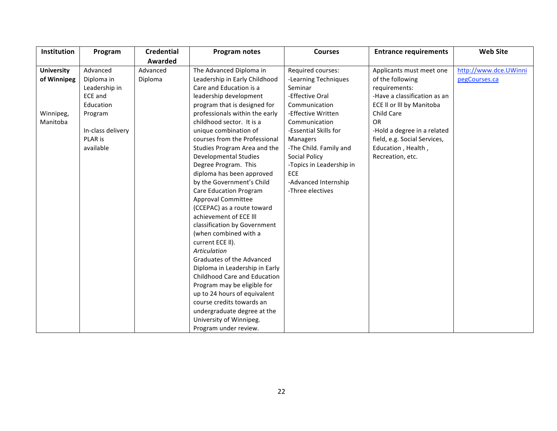| Institution       | Program           | <b>Credential</b> | Program notes                  | <b>Courses</b>           | <b>Entrance requirements</b> | <b>Web Site</b>       |
|-------------------|-------------------|-------------------|--------------------------------|--------------------------|------------------------------|-----------------------|
|                   |                   | Awarded           |                                |                          |                              |                       |
| <b>University</b> | Advanced          | Advanced          | The Advanced Diploma in        | Required courses:        | Applicants must meet one     | http://www.dce.UWinni |
| of Winnipeg       | Diploma in        | Diploma           | Leadership in Early Childhood  | -Learning Techniques     | of the following             | pegCourses.ca         |
|                   | Leadership in     |                   | Care and Education is a        | Seminar                  | requirements:                |                       |
|                   | ECE and           |                   | leadership development         | -Effective Oral          | -Have a classification as an |                       |
|                   | Education         |                   | program that is designed for   | Communication            | ECE II or III by Manitoba    |                       |
| Winnipeg,         | Program           |                   | professionals within the early | -Effective Written       | Child Care                   |                       |
| Manitoba          |                   |                   | childhood sector. It is a      | Communication            | <b>OR</b>                    |                       |
|                   | In-class delivery |                   | unique combination of          | -Essential Skills for    | -Hold a degree in a related  |                       |
|                   | PLAR is           |                   | courses from the Professional  | <b>Managers</b>          | field, e.g. Social Services, |                       |
|                   | available         |                   | Studies Program Area and the   | -The Child. Family and   | Education, Health,           |                       |
|                   |                   |                   | <b>Developmental Studies</b>   | <b>Social Policy</b>     | Recreation, etc.             |                       |
|                   |                   |                   | Degree Program. This           | -Topics in Leadership in |                              |                       |
|                   |                   |                   | diploma has been approved      | ECE                      |                              |                       |
|                   |                   |                   | by the Government's Child      | -Advanced Internship     |                              |                       |
|                   |                   |                   | <b>Care Education Program</b>  | -Three electives         |                              |                       |
|                   |                   |                   | <b>Approval Committee</b>      |                          |                              |                       |
|                   |                   |                   | (CCEPAC) as a route toward     |                          |                              |                       |
|                   |                   |                   | achievement of ECE III         |                          |                              |                       |
|                   |                   |                   | classification by Government   |                          |                              |                       |
|                   |                   |                   | (when combined with a          |                          |                              |                       |
|                   |                   |                   | current ECE II).               |                          |                              |                       |
|                   |                   |                   | Articulation                   |                          |                              |                       |
|                   |                   |                   | Graduates of the Advanced      |                          |                              |                       |
|                   |                   |                   | Diploma in Leadership in Early |                          |                              |                       |
|                   |                   |                   | Childhood Care and Education   |                          |                              |                       |
|                   |                   |                   | Program may be eligible for    |                          |                              |                       |
|                   |                   |                   | up to 24 hours of equivalent   |                          |                              |                       |
|                   |                   |                   | course credits towards an      |                          |                              |                       |
|                   |                   |                   | undergraduate degree at the    |                          |                              |                       |
|                   |                   |                   | University of Winnipeg.        |                          |                              |                       |
|                   |                   |                   | Program under review.          |                          |                              |                       |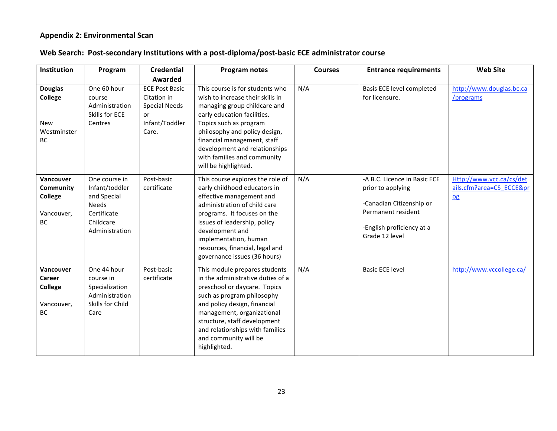## **Appendix 2: Environmental Scan**

## Web Search: Post-secondary Institutions with a post-diploma/post-basic ECE administrator course

| <b>Institution</b>                                                  | Program                                                                                                      | <b>Credential</b>                                                                             | Program notes                                                                                                                                                                                                                                                                                                        | <b>Courses</b> | <b>Entrance requirements</b>                                                                                                                       | <b>Web Site</b>                                          |
|---------------------------------------------------------------------|--------------------------------------------------------------------------------------------------------------|-----------------------------------------------------------------------------------------------|----------------------------------------------------------------------------------------------------------------------------------------------------------------------------------------------------------------------------------------------------------------------------------------------------------------------|----------------|----------------------------------------------------------------------------------------------------------------------------------------------------|----------------------------------------------------------|
|                                                                     |                                                                                                              | Awarded                                                                                       |                                                                                                                                                                                                                                                                                                                      |                |                                                                                                                                                    |                                                          |
| <b>Douglas</b><br><b>College</b><br>New<br>Westminster<br><b>BC</b> | One 60 hour<br>course<br>Administration<br>Skills for ECE<br>Centres                                         | <b>ECE Post Basic</b><br>Citation in<br><b>Special Needs</b><br>or<br>Infant/Toddler<br>Care. | This course is for students who<br>wish to increase their skills in<br>managing group childcare and<br>early education facilities.<br>Topics such as program<br>philosophy and policy design,<br>financial management, staff<br>development and relationships<br>with families and community<br>will be highlighted. | N/A            | Basis ECE level completed<br>for licensure.                                                                                                        | http://www.douglas.bc.ca<br>/programs                    |
| Vancouver<br>Community<br><b>College</b><br>Vancouver,<br><b>BC</b> | One course in<br>Infant/toddler<br>and Special<br><b>Needs</b><br>Certificate<br>Childcare<br>Administration | Post-basic<br>certificate                                                                     | This course explores the role of<br>early childhood educators in<br>effective management and<br>administration of child care<br>programs. It focuses on the<br>issues of leadership, policy<br>development and<br>implementation, human<br>resources, financial, legal and<br>governance issues (36 hours)           | N/A            | -A B.C. Licence in Basic ECE<br>prior to applying<br>-Canadian Citizenship or<br>Permanent resident<br>-English proficiency at a<br>Grade 12 level | Http://www.vcc.ca/cs/det<br>ails.cfm?area=CS ECCE≺<br>Qg |
| Vancouver<br><b>Career</b><br>College<br>Vancouver,<br><b>BC</b>    | One 44 hour<br>course in<br>Specialization<br>Administration<br>Skills for Child<br>Care                     | Post-basic<br>certificate                                                                     | This module prepares students<br>in the administrative duties of a<br>preschool or daycare. Topics<br>such as program philosophy<br>and policy design, financial<br>management, organizational<br>structure, staff development<br>and relationships with families<br>and community will be<br>highlighted.           | N/A            | <b>Basic ECE level</b>                                                                                                                             | http://www.vccollege.ca/                                 |